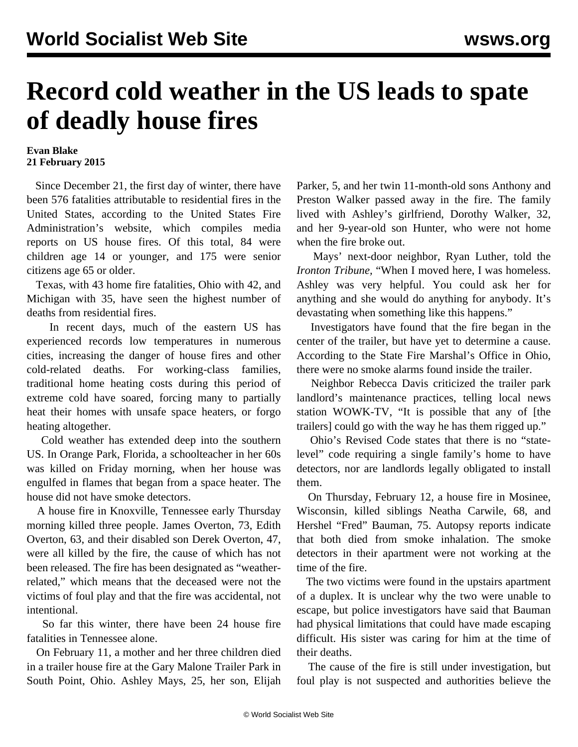## **Record cold weather in the US leads to spate of deadly house fires**

## **Evan Blake 21 February 2015**

 Since December 21, the first day of winter, there have been 576 fatalities attributable to residential fires in the United States, according to the United States Fire Administration's [website,](http://apps.usfa.fema.gov/civilian-fatalities/incident/reportList) which compiles media reports on US house fires. Of this total, 84 were children age 14 or younger, and 175 were senior citizens age 65 or older.

 Texas, with 43 home fire fatalities, Ohio with 42, and Michigan with 35, have seen the highest number of deaths from residential fires.

 In recent days, much of the eastern US has experienced records low temperatures in numerous cities, increasing the danger of house fires and other cold-related deaths. For working-class families, traditional home heating costs during this period of extreme cold have soared, forcing many to partially heat their homes with unsafe space heaters, or forgo heating altogether.

 Cold weather has extended deep into the southern US. In Orange Park, Florida, a schoolteacher in her 60s was killed on Friday morning, when her house was engulfed in flames that began from a space heater. The house did not have smoke detectors.

 A house fire in Knoxville, Tennessee early Thursday morning killed three people. James Overton, 73, Edith Overton, 63, and their disabled son Derek Overton, 47, were all killed by the fire, the cause of which has not been released. The fire has been designated as "weatherrelated," which means that the deceased were not the victims of foul play and that the fire was accidental, not intentional.

 So far this winter, there have been 24 house fire fatalities in Tennessee alone.

 On February 11, a mother and her three children died in a trailer house fire at the Gary Malone Trailer Park in South Point, Ohio. Ashley Mays, 25, her son, Elijah Parker, 5, and her twin 11-month-old sons Anthony and Preston Walker passed away in the fire. The family lived with Ashley's girlfriend, Dorothy Walker, 32, and her 9-year-old son Hunter, who were not home when the fire broke out.

 Mays' next-door neighbor, Ryan Luther, told the *Ironton Tribune,* "When I moved here, I was homeless. Ashley was very helpful. You could ask her for anything and she would do anything for anybody. It's devastating when something like this happens."

 Investigators have found that the fire began in the center of the trailer, but have yet to determine a cause. According to the State Fire Marshal's Office in Ohio, there were no smoke alarms found inside the trailer.

 Neighbor Rebecca Davis criticized the trailer park landlord's maintenance practices, telling local news station WOWK-TV, "It is possible that any of [the trailers] could go with the way he has them rigged up."

 Ohio's Revised Code states that there is no "statelevel" code requiring a single family's home to have detectors, nor are landlords legally obligated to install them.

 On Thursday, February 12, a house fire in Mosinee, Wisconsin, killed siblings Neatha Carwile, 68, and Hershel "Fred" Bauman, 75. Autopsy reports indicate that both died from smoke inhalation. The smoke detectors in their apartment were not working at the time of the fire.

 The two victims were found in the upstairs apartment of a duplex. It is unclear why the two were unable to escape, but police investigators have said that Bauman had physical limitations that could have made escaping difficult. His sister was caring for him at the time of their deaths.

 The cause of the fire is still under investigation, but foul play is not suspected and authorities believe the